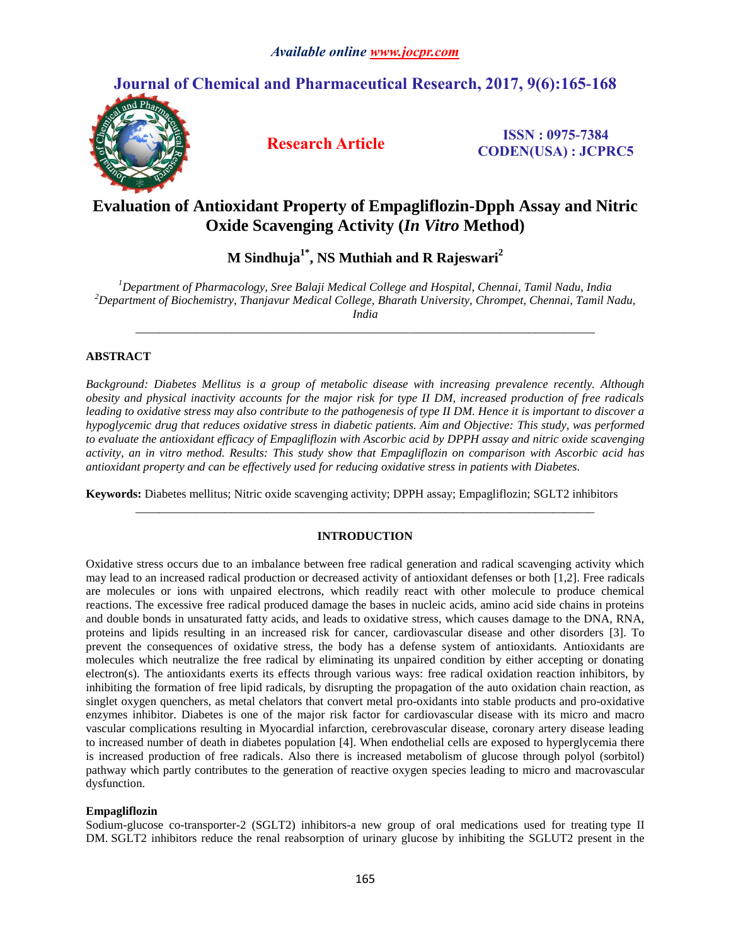# **Journal of Chemical and Pharmaceutical Research, 2017, 9(6):165-168**



**Research Article ISSN : 0975-7384 CODEN(USA) : JCPRC5**

# **Evaluation of Antioxidant Property of Empagliflozin-Dpph Assay and Nitric Oxide Scavenging Activity (***In Vitro* **Method)**

**M Sindhuja1\* , NS Muthiah and R Rajeswari<sup>2</sup>**

*<sup>1</sup>Department of Pharmacology, Sree Balaji Medical College and Hospital, Chennai, Tamil Nadu, India <sup>2</sup>Department of Biochemistry, Thanjavur Medical College, Bharath University, Chrompet, Chennai, Tamil Nadu, India*

*\_\_\_\_\_\_\_\_\_\_\_\_\_\_\_\_\_\_\_\_\_\_\_\_\_\_\_\_\_\_\_\_\_\_\_\_\_\_\_\_\_\_\_\_\_\_\_\_\_\_\_\_\_\_\_\_\_\_\_\_\_\_\_\_\_\_\_\_\_\_\_\_\_\_\_\_\_*

# **ABSTRACT**

*Background: Diabetes Mellitus is a group of metabolic disease with increasing prevalence recently. Although obesity and physical inactivity accounts for the major risk for type II DM, increased production of free radicals leading to oxidative stress may also contribute to the pathogenesis of type II DM. Hence it is important to discover a hypoglycemic drug that reduces oxidative stress in diabetic patients. Aim and Objective: This study, was performed to evaluate the antioxidant efficacy of Empagliflozin with Ascorbic acid by DPPH assay and nitric oxide scavenging activity, an in vitro method. Results: This study show that Empagliflozin on comparison with Ascorbic acid has antioxidant property and can be effectively used for reducing oxidative stress in patients with Diabetes.*

**Keywords:** Diabetes mellitus; Nitric oxide scavenging activity; DPPH assay; Empagliflozin; SGLT2 inhibitors

## **INTRODUCTION**

*\_\_\_\_\_\_\_\_\_\_\_\_\_\_\_\_\_\_\_\_\_\_\_\_\_\_\_\_\_\_\_\_\_\_\_\_\_\_\_\_\_\_\_\_\_\_\_\_\_\_\_\_\_\_\_\_\_\_\_\_\_\_\_\_\_\_\_\_\_\_\_\_\_\_\_\_\_*

Oxidative stress occurs due to an imbalance between free radical generation and radical scavenging activity which may lead to an increased radical production or decreased activity of antioxidant defenses or both [1,2]. Free radicals are molecules or ions with unpaired electrons, which readily react with other molecule to produce chemical reactions. The excessive free radical produced damage the bases in nucleic acids, amino acid side chains in proteins and double bonds in unsaturated fatty acids, and leads to oxidative stress, which causes damage to the DNA, RNA, proteins and lipids resulting in an increased risk for cancer, cardiovascular disease and other disorders [3]. To prevent the consequences of oxidative stress, the body has a defense system of antioxidants*.* Antioxidants are molecules which neutralize the free radical by eliminating its unpaired condition by either accepting or donating electron(s). The antioxidants exerts its effects through various ways: free radical oxidation reaction inhibitors, by inhibiting the formation of free lipid radicals, by disrupting the propagation of the auto oxidation chain reaction, as singlet oxygen quenchers, as metal chelators that convert metal pro-oxidants into stable products and pro-oxidative enzymes inhibitor. Diabetes is one of the major risk factor for cardiovascular disease with its micro and macro vascular complications resulting in Myocardial infarction, cerebrovascular disease, coronary artery disease leading to increased number of death in diabetes population [4]. When endothelial cells are exposed to hyperglycemia there is increased production of free radicals. Also there is increased metabolism of glucose through polyol (sorbitol) pathway which partly contributes to the generation of reactive oxygen species leading to micro and macrovascular dysfunction.

# **Empagliflozin**

Sodium-glucose co-transporter-2 (SGLT2) inhibitors-a new group of oral medications used for treating type II DM. SGLT2 inhibitors reduce the renal reabsorption of urinary glucose by inhibiting the SGLUT2 present in the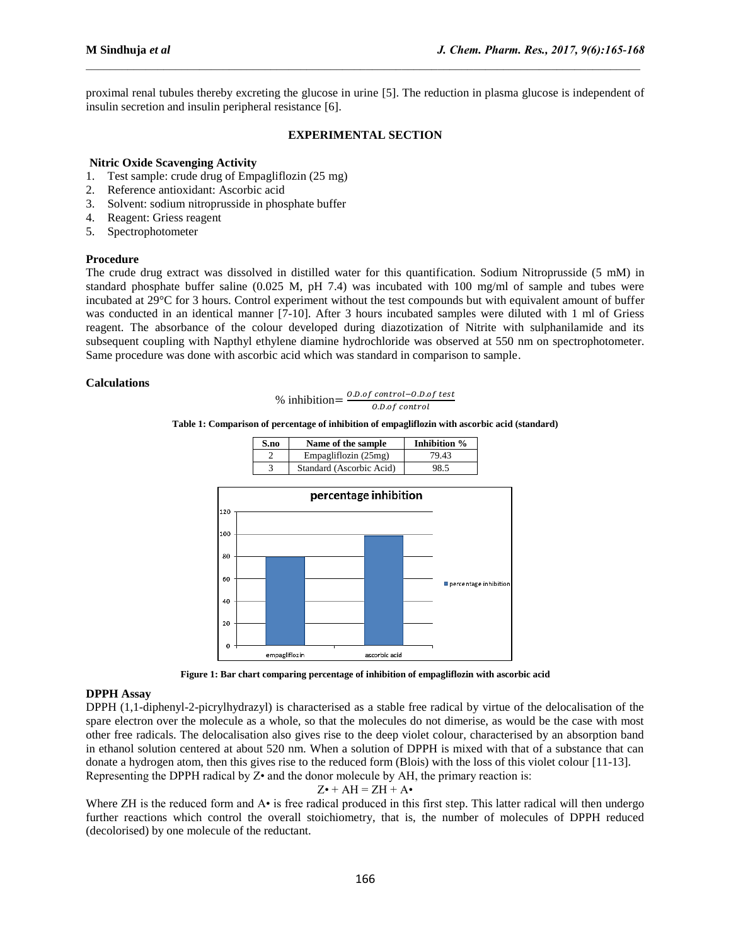proximal renal tubules thereby excreting the glucose in urine [5]. The reduction in plasma glucose is independent of insulin secretion and insulin peripheral resistance [6].

 $\mathcal{L}_\mathcal{L} = \mathcal{L}_\mathcal{L}$ 

## **EXPERIMENTAL SECTION**

### **Nitric Oxide Scavenging Activity**

- 1. Test sample: crude drug of Empagliflozin (25 mg)
- 2. Reference antioxidant: Ascorbic acid
- 3. Solvent: sodium nitroprusside in phosphate buffer
- 4. Reagent: Griess reagent
- 5. Spectrophotometer

### **Procedure**

The crude drug extract was dissolved in distilled water for this quantification. Sodium Nitroprusside (5 mM) in standard phosphate buffer saline (0.025 M, pH 7.4) was incubated with 100 mg/ml of sample and tubes were incubated at 29°C for 3 hours. Control experiment without the test compounds but with equivalent amount of buffer was conducted in an identical manner [7-10]. After 3 hours incubated samples were diluted with 1 ml of Griess reagent. The absorbance of the colour developed during diazotization of Nitrite with sulphanilamide and its subsequent coupling with Napthyl ethylene diamine hydrochloride was observed at 550 nm on spectrophotometer. Same procedure was done with ascorbic acid which was standard in comparison to sample.

## **Calculations**

% inhibition=
$$
\frac{0.0.0f\ control - 0.0.0f\ test}{0.0.0f\ control}
$$

#### **Table 1: Comparison of percentage of inhibition of empagliflozin with ascorbic acid (standard)**



**Figure 1: Bar chart comparing percentage of inhibition of empagliflozin with ascorbic acid**

### **DPPH Assay**

DPPH (1,1-diphenyl-2-picrylhydrazyl) is characterised as a stable free radical by virtue of the delocalisation of the spare electron over the molecule as a whole, so that the molecules do not dimerise, as would be the case with most other free radicals. The delocalisation also gives rise to the deep violet colour, characterised by an absorption band in ethanol solution centered at about 520 nm. When a solution of DPPH is mixed with that of a substance that can donate a hydrogen atom, then this gives rise to the reduced form (Blois) with the loss of this violet colour [11-13]. Representing the DPPH radical by Z• and the donor molecule by AH, the primary reaction is:

## $Z\bullet$  + AH = ZH + A $\bullet$

Where ZH is the reduced form and A• is free radical produced in this first step. This latter radical will then undergo further reactions which control the overall stoichiometry, that is, the number of molecules of DPPH reduced (decolorised) by one molecule of the reductant.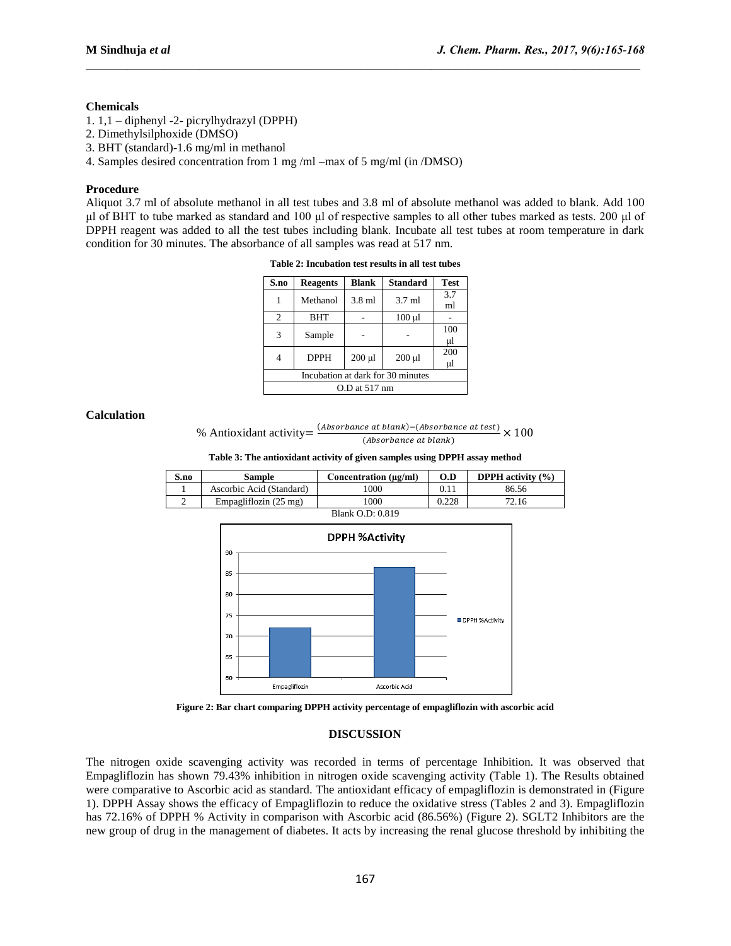### **Chemicals**

- 1. 1,1 diphenyl -2- picrylhydrazyl (DPPH)
- 2. Dimethylsilphoxide (DMSO)
- 3. BHT (standard)-1.6 mg/ml in methanol
- 4. Samples desired concentration from 1 mg /ml –max of 5 mg/ml (in /DMSO)

#### **Procedure**

Aliquot 3.7 ml of absolute methanol in all test tubes and 3.8 ml of absolute methanol was added to blank. Add 100 μl of BHT to tube marked as standard and 100 μl of respective samples to all other tubes marked as tests. 200 μl of DPPH reagent was added to all the test tubes including blank. Incubate all test tubes at room temperature in dark condition for 30 minutes. The absorbance of all samples was read at 517 nm.

 $\mathcal{L}_\mathcal{L} = \mathcal{L}_\mathcal{L}$ 

**Table 2: Incubation test results in all test tubes**

| S.no                              | <b>Reagents</b> | <b>Blank</b> | <b>Standard</b> | <b>Test</b> |  |  |
|-----------------------------------|-----------------|--------------|-----------------|-------------|--|--|
|                                   | Methanol        | 3.8 ml       | $3.7$ ml        | 3.7<br>ml   |  |  |
| 2                                 | <b>BHT</b>      |              | $100 \mu l$     |             |  |  |
| 3                                 | Sample          |              |                 | 100<br>μl   |  |  |
| 4                                 | <b>DPPH</b>     | $200$ $\mu$  | $200 \mu l$     | 200<br>μl   |  |  |
| Incubation at dark for 30 minutes |                 |              |                 |             |  |  |
| $O.D$ at $517$ nm                 |                 |              |                 |             |  |  |

### **Calculation**

```
% Antioxidant activity 
                                                                    (Absorbance at blank) - (Absorbance at test)
                                                                                                  \frac{(\textit{a} \textit{b} \textit{a} \textit{b} \textit{b}) - (\textit{a} \textit{b} \textit{s} \textit{b})}{(\textit{b} \textit{b} \textit{s} \textit{b} \textit{b} \textit{b} \textit{b} \textit{b} \textit{c} \textit{b})} X
```
**Table 3: The antioxidant activity of given samples using DPPH assay method**

| S.no                  | Sample                   | Concentration $(\mu g/ml)$ | O.D   | <b>DPPH</b> activity $(\% )$ |  |  |
|-----------------------|--------------------------|----------------------------|-------|------------------------------|--|--|
|                       | Ascorbic Acid (Standard) | 000                        | 0.11  | 86.56                        |  |  |
|                       | Empagliflozin (25 mg)    | .000                       | 0.228 | 72.16                        |  |  |
| 1.05.010<br><b>DI</b> |                          |                            |       |                              |  |  |



**Figure 2: Bar chart comparing DPPH activity percentage of empagliflozin with ascorbic acid** 

### **DISCUSSION**

The nitrogen oxide scavenging activity was recorded in terms of percentage Inhibition. It was observed that Empagliflozin has shown 79.43% inhibition in nitrogen oxide scavenging activity (Table 1). The Results obtained were comparative to Ascorbic acid as standard. The antioxidant efficacy of empagliflozin is demonstrated in (Figure 1). DPPH Assay shows the efficacy of Empagliflozin to reduce the oxidative stress (Tables 2 and 3). Empagliflozin has 72.16% of DPPH % Activity in comparison with Ascorbic acid (86.56%) (Figure 2). SGLT2 Inhibitors are the new group of drug in the management of diabetes. It acts by increasing the renal glucose threshold by inhibiting the